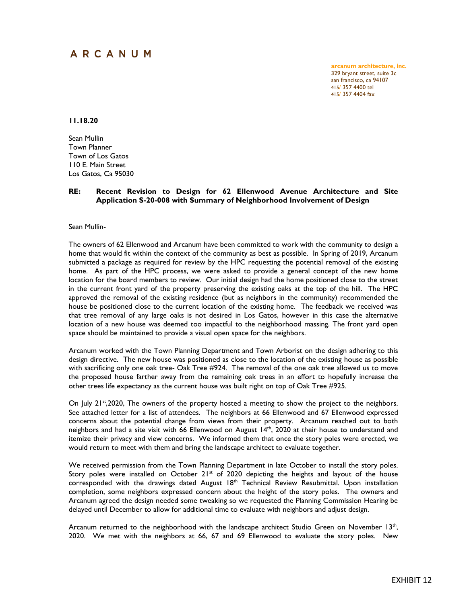## ARCANUM

**arcanum architecture, inc.** 329 bryant street, suite 3c san francisco, ca 94107 415/ 357 4400 tel 415/ 357 4404 fax

**11.18.20**

Sean Mullin Town Planner Town of Los Gatos 110 E. Main Street Los Gatos, Ca 95030

## **RE: Recent Revision to Design for 62 Ellenwood Avenue Architecture and Site Application S-20-008 with Summary of Neighborhood Involvement of Design**

Sean Mullin-

The owners of 62 Ellenwood and Arcanum have been committed to work with the community to design a home that would fit within the context of the community as best as possible. In Spring of 2019, Arcanum submitted a package as required for review by the HPC requesting the potential removal of the existing home. As part of the HPC process, we were asked to provide a general concept of the new home location for the board members to review. Our initial design had the home positioned close to the street in the current front yard of the property preserving the existing oaks at the top of the hill. The HPC approved the removal of the existing residence (but as neighbors in the community) recommended the house be positioned close to the current location of the existing home. The feedback we received was that tree removal of any large oaks is not desired in Los Gatos, however in this case the alternative location of a new house was deemed too impactful to the neighborhood massing. The front yard open space should be maintained to provide a visual open space for the neighbors.

Arcanum worked with the Town Planning Department and Town Arborist on the design adhering to this design directive. The new house was positioned as close to the location of the existing house as possible with sacrificing only one oak tree- Oak Tree #924. The removal of the one oak tree allowed us to move the proposed house farther away from the remaining oak trees in an effort to hopefully increase the other trees life expectancy as the current house was built right on top of Oak Tree #925.

On July 21<sup>st</sup>, 2020, The owners of the property hosted a meeting to show the project to the neighbors. See attached letter for a list of attendees. The neighbors at 66 Ellenwood and 67 Ellenwood expressed concerns about the potential change from views from their property. Arcanum reached out to both neighbors and had a site visit with 66 Ellenwood on August 14<sup>th</sup>, 2020 at their house to understand and itemize their privacy and view concerns. We informed them that once the story poles were erected, we would return to meet with them and bring the landscape architect to evaluate together.

We received permission from the Town Planning Department in late October to install the story poles. Story poles were installed on October  $21^{st}$  of 2020 depicting the heights and layout of the house corresponded with the drawings dated August 18<sup>th</sup> Technical Review Resubmittal. Upon installation completion, some neighbors expressed concern about the height of the story poles. The owners and Arcanum agreed the design needed some tweaking so we requested the Planning Commission Hearing be delayed until December to allow for additional time to evaluate with neighbors and adjust design.

Arcanum returned to the neighborhood with the landscape architect Studio Green on November 13<sup>th</sup>, 2020. We met with the neighbors at 66, 67 and 69 Ellenwood to evaluate the story poles. New